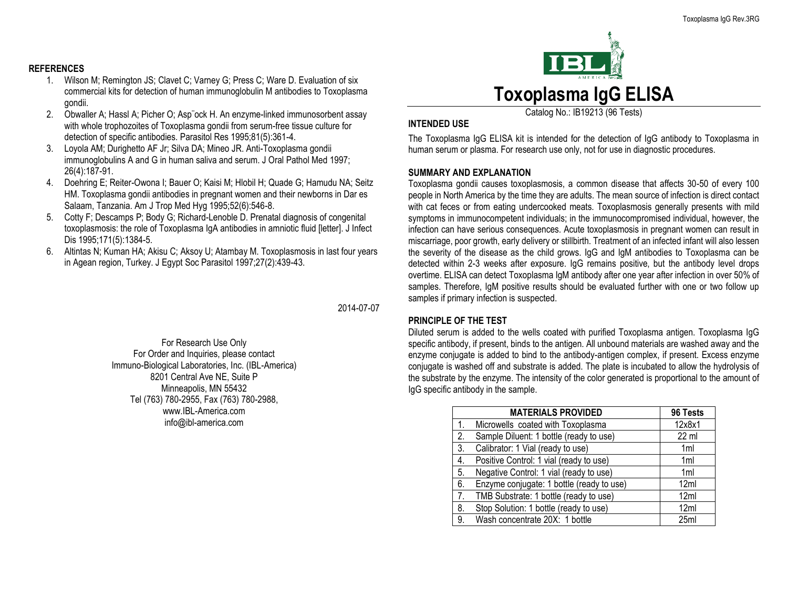#### **REFERENCES**

- 1. Wilson M; Remington JS; Clavet C; Varney G; Press C; Ware D. Evaluation of six commercial kits for detection of human immunoglobulin M antibodies to Toxoplasma gondii.
- 2. Obwaller A; Hassl A; Picher O; Asp¨ock H. An enzyme-linked immunosorbent assay with whole trophozoites of Toxoplasma gondii from serum-free tissue culture for detection of specific antibodies. Parasitol Res 1995;81(5):361-4.
- 3. Loyola AM; Durighetto AF Jr; Silva DA; Mineo JR. Anti-Toxoplasma gondii immunoglobulins A and G in human saliva and serum. J Oral Pathol Med 1997; 26(4):187-91.
- 4. Doehring E; Reiter-Owona I; Bauer O; Kaisi M; Hlobil H; Quade G; Hamudu NA; Seitz HM. Toxoplasma gondii antibodies in pregnant women and their newborns in Dar es Salaam, Tanzania. Am J Trop Med Hyg 1995;52(6):546-8.
- 5. Cotty F; Descamps P; Body G; Richard-Lenoble D. Prenatal diagnosis of congenital toxoplasmosis: the role of Toxoplasma IgA antibodies in amniotic fluid [letter]. J Infect Dis 1995;171(5):1384-5.
- 6. Altintas N; Kuman HA; Akisu C; Aksoy U; Atambay M. Toxoplasmosis in last four years in Agean region, Turkey. J Egypt Soc Parasitol 1997;27(2):439-43.

2014-07-07

For Research Use Only For Order and Inquiries, please contact Immuno-Biological Laboratories, Inc. (IBL-America) 8201 Central Ave NE, Suite P Minneapolis, MN 55432 Tel (763) 780-2955, Fax (763) 780-2988, www.IBL-America.com info@ibl-america.com



Catalog No.: IB19213 (96 Tests)

#### **INTENDED USE**

The Toxoplasma IgG ELISA kit is intended for the detection of IgG antibody to Toxoplasma in human serum or plasma. For research use only, not for use in diagnostic procedures.

#### **SUMMARY AND EXPLANATION**

Toxoplasma gondii causes toxoplasmosis, a common disease that affects 30-50 of every 100 people in North America by the time they are adults. The mean source of infection is direct contact with cat feces or from eating undercooked meats. Toxoplasmosis generally presents with mild symptoms in immunocompetent individuals; in the immunocompromised individual, however, the infection can have serious consequences. Acute toxoplasmosis in pregnant women can result in miscarriage, poor growth, early delivery or stillbirth. Treatment of an infected infant will also lessen the severity of the disease as the child grows. IgG and IgM antibodies to Toxoplasma can be detected within 2-3 weeks after exposure. IgG remains positive, but the antibody level drops overtime. ELISA can detect Toxoplasma IgM antibody after one year after infection in over 50% of samples. Therefore, IgM positive results should be evaluated further with one or two follow up samples if primary infection is suspected.

#### **PRINCIPLE OF THE TEST**

Diluted serum is added to the wells coated with purified Toxoplasma antigen. Toxoplasma IgG specific antibody, if present, binds to the antigen. All unbound materials are washed away and the enzyme conjugate is added to bind to the antibody-antigen complex, if present. Excess enzyme conjugate is washed off and substrate is added. The plate is incubated to allow the hydrolysis of the substrate by the enzyme. The intensity of the color generated is proportional to the amount of IgG specific antibody in the sample.

|                  | <b>MATERIALS PROVIDED</b>                 | 96 Tests         |
|------------------|-------------------------------------------|------------------|
| $\mathbf{1}$ .   | Microwells coated with Toxoplasma         | 12x8x1           |
| 2.               | Sample Diluent: 1 bottle (ready to use)   | $22$ ml          |
| 3.               | Calibrator: 1 Vial (ready to use)         | 1 <sub>ml</sub>  |
| $\overline{4}$ . | Positive Control: 1 vial (ready to use)   | 1 <sub>ml</sub>  |
| 5.               | Negative Control: 1 vial (ready to use)   | 1ml              |
| 6.               | Enzyme conjugate: 1 bottle (ready to use) | 12ml             |
| 7.               | TMB Substrate: 1 bottle (ready to use)    | 12ml             |
| 8.               | Stop Solution: 1 bottle (ready to use)    | 12ml             |
| 9.               | Wash concentrate 20X: 1 bottle            | 25 <sub>ml</sub> |